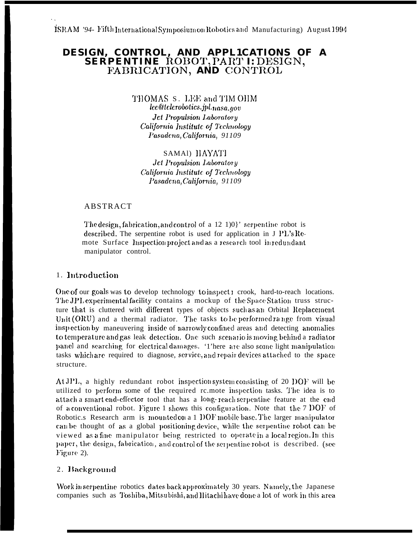# DESIGN, CONTROL, AND APPLICATIONS OF A SERPENTINE ROBOT, PART I: DESIGN, FABRICATION, AND CONTROL

THOMAS S. LEE and TIM OHM lee@telerobotics.jpl.nasa.gov **Jct Propulsion Laboratory** California Institute of Technology Pasadena, California, 91109

SAMAI) IIAYATI **Jet Propulsion Laboratory** California Institute of Technology Pasadena, California, 91109

### **ABSTRACT**

The design, fabrication, and control of a 12 1)0}' serpentine robot is described. The serpentine robot is used for application in J PL's Remote Surface Inspection project and as a research tool in redundant manipulator control.

### 1. Introduction

One of our goals was to develop technology to inspect t crook, hard-to-reach locations. The JPL experimental facility contains a mockup of the Space Station truss structure that is cluttered with different types of objects such as an Orbital Replacement Unit (ORU) and a thermal radiator. The tasks to be performed range from visual inspection by maneuvering inside of narrowly confined areas and detecting anomalies to temperature and gas leak detection. One such scenario is moving behind a radiator panel and searching for electrical damages. '1'here are also some light manipulation tasks which are required to diagnose, service, and repair devices attached to the space structure.

At JPL, a highly redundant robot inspection system consisting of 20 DOF will be utilized to perform some of the required rc.mote inspection tasks. The idea is to attach a smart end-effector tool that has a long-reach serpentine feature at the end of a conventional robot. Figure 1 shows this configuration. Note that the 7 DOF of Robotic.s Research arm is mounted on a 1 DOF mobile base. The larger manipulator can be thought of as a global positioning device, while the serpentine robot can be viewed as a fine manipulator being restricted to operate in a local region. In this paper, the design, fabrication, and control of the serpentine robot is described. (see Figure 2).

### 2. Background

Work in serpentine robotics dates back approximately 30 years. Namely, the Japanese companies such as Toshiba, Mitsubishi, and Hitachihave done a lot of work in this area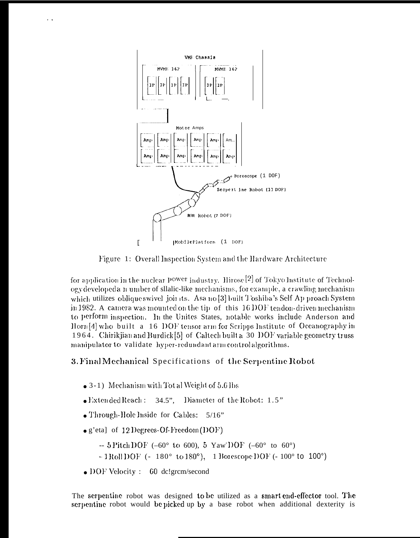

Figure 1: Overall Inspection System and the Hardware Architecture

for application in the nuclear Power industry. Hirose<sup>[2]</sup> of Tokyo Institute of Technology developed a n umber of silalic-like mechanisms, for example, a crawling mechanism which utilizes oblique swivel joints. Asa no [3] built Toshiba's Self Ap proach System in 1982. A camera was mounted on the tip of this 16 DOF tendon-driven mechanism to perform inspection. In the Unites States, notable works include Anderson and  $\lceil \ln(n/4) \rceil$  who built a 16 DOF tensor arm for Scripps Institute of Oceanography in 1964. Chirikjian and Burdick [5] of Caltech built a 30 DOF variable geometry truss manipulator to validate hyper-redundant arm control algorithms.

## 3. Final Mechanical Specifications of the Serpentine Robot

- 3-1) Mechanism with Tot al Weight of 5.6 lbs
- Diameter of the Robot: 1.5"  $\bullet$  Extended Reach:  $34.5$ "
- Through-Hole hiside for Cables:  $5/16$ "

 $\ddot{\phantom{a}}$ 

- $\bullet$  g'eta] of 12 Degrees-Of-Freedom (DOF)
	- -- 5 Pitch DOF (-60° to 600), 5 Yaw'DOF (-60° to 60°)
	- $-1$ Roll DOF (- 180° to 180°), 1 Borescope DOF (- 100° to 100°)
- DOF Velocity :  $60 \text{ dc}$ !grcm/second

The serpentine robot was designed to be utilized as a smart end-effector tool. The serpentine robot would be picked up by a base robot when additional dexterity is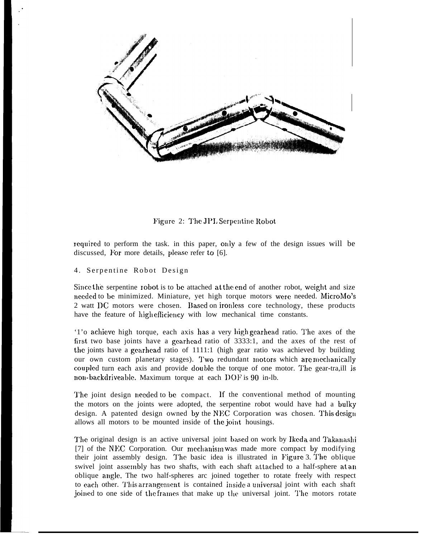

Figure 2: The JPL Serpentine Robot

required to perform the task. in this paper, only a few of the design issues will be discussed, For more details, please refer to [6].

#### 4. Serpentine Robot Design

Since the serpentine robot is to be attached at the end of another robot, weight and size nccdcd to be minimized. Miniature, yet high torque motors were needed. MicroMo's 2 watt DC motors were chosen. Based on ironless core technology, these products have the feature of high efficiency with low mechanical time constants.

'1'o achicvc high torque, each axis has a very IIigh gcarhcad ratio. '1'he axes of the first two base joints have a gcarhcad ratio of 3333:1, and the axes of the rest of the joints have a gearhead ratio of 1111:1 (high gear ratio was achieved by building our own custom planetary stages). Two redundant motors which are mechanically coupled turn each axis and provide double the torque of one motor. The gear-tra, ill is non-backdriveable. Maximum torque at each DOF is 90 in-lb.

The joint design needed to be compact. If the conventional method of mounting the motors on the joints were adopted, the serpentine robot would have had a bulky design. A patented design owned by the NEC Corporation was chosen. This design allows all motors to be mounted inside of the joint housings.

The original design is an active universal joint based on work by Ikeda and Takanashi [7] of the NEC Corporation. Our mechanism was made more compact by modifying their joint assembly design. The basic idea is illustrated in Figure 3. The oblique swivel joint assembly has two shafts, with each shaft attached to a half-sphere at an oblique angle. The two half-spheres arc joined together to rotate freely with respect to each other. This arrangement is contained inside a universal joint with each shaft joined to one side of the frames that make up the universal joint. The motors rotate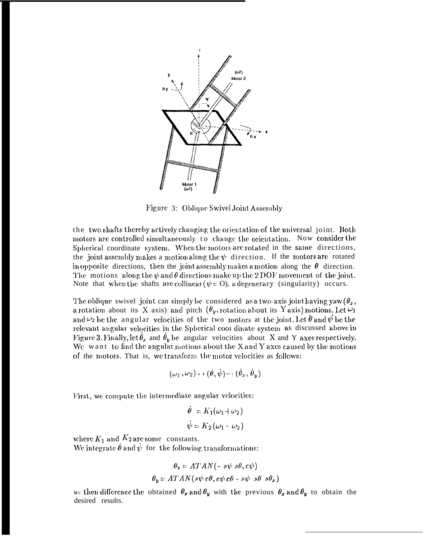

Figure 3: Oblique Swivel Joint Assembly

the two shafts thereby actively changing the orientation of the universal joint. Both motors are controlled simultaneously to change the orientation. Now consider the Spherical coordinate system. When the motors are rotated in the same directions, the joint assembly makes a motion along the  $\psi$  direction. If the motors are rotated in opposite directions, then the joint assembly makes a motion along the  $\theta$  direction. The motions along the  $\psi$  and  $\theta$  directions make up the 2 DOF movement of the joint. Note that when the shafts are collinear ( $\psi$  = O), a degeneracy (singularity) occurs.

The oblique swivel joint can simply be considered as a two-axis joint having yaw  $(\theta_x, \theta_y)$ a rotation about its X axis) and pitch  $(\theta_y$ , rotation about its Y axis) motions. Let  $\omega_1$ and  $\omega_2$  be the angular velocities of the two motors at the joint. Let  $\hat{\theta}$  and  $\hat{\psi}$  be the relevant angular velocities in the Spherical coor dinate system as discussed above in Figure 3. Finally, let  $\hat{\theta}_x$  and  $\hat{\theta}_y$  be angular velocities about X and Y axes respectively. We want to find the angular motions about the  $X$  and  $Y$  axes caused by the motions of the motors. That is, we transform the motor velocities as follows:

$$
(\omega_1,\omega_2)\rightarrow(\dot{\theta},\dot{\psi})\rightarrow(\dot{\theta}_x,\dot{\theta}_y)
$$

First, we compute the intermediate angular velocities:

$$
\dot{\theta} = K_1(\omega_1 + \omega_2)
$$
  

$$
\dot{\psi} = K_2(\omega_1 - \omega_2)
$$

where  $K_1$  and  $K_2$  are some constants.<br>We integrate  $\dot{\theta}$  and  $\dot{\psi}$  for the following transformations:

$$
\theta_{x} = ATAN(-s\psi s\theta, c\psi)
$$

$$
\theta_{y} = ATAN(s\psi c\theta, c\psi c\theta - s\psi s\theta s\theta_{x})
$$

we then difference the obtained  $\theta_x$  and  $\theta_y$  with the previous  $\theta_x$  and  $\theta_y$  to obtain the desired results.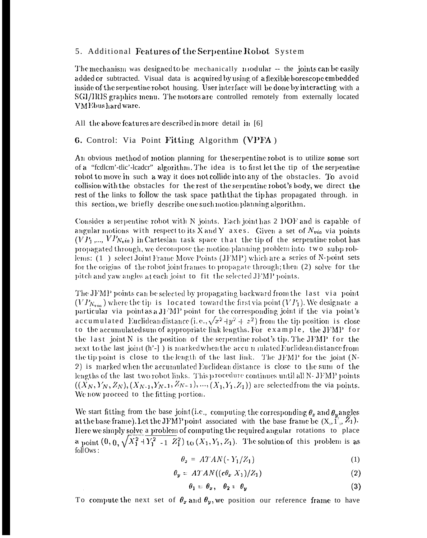### 5. Additional Features of the Serpentine Robot System

The mechanism was designed to be mechanically modular -- the joints can be easily added or subtracted. Visual data is acquired by using of a flexible borescope embedded inside of the serpentine robot housing. User interface will be done by interacting with a SGI/IRIS graphics menu. The motors are controlled remotely from externally located VMEbushard ware.

All the above features are described in more detail in [6]

### 6. Control: Via Point Fitting Algorithm (VPFA)

An obvious method of motion planning for the serpentine robot is to utilize some sort of a "fedlem'-tlic'-leader" algorithm. The idea is to first let the tip of the serpentine robot to move in such a way it does not collide into any of the obstacles. To avoid collision with the obstacles for the rest of the serpentine robot's body, we direct the rest of the links to follow the task space path that the tip has propagated through. in this section, we briefly describe one such motion planning algorithm.

Consider a serpentine robot with N joints. Each joint has 2 DOF and is capable of angular motions with respect to its X and Y axes. Given a set of  $N_{via}$  via points  $(VP_1, ..., VP_{N_{\rm v}ia})$  in Cartesian task space that the tip of the serpentine robot has propagated through, we decompose the motion planning problem into two subp roblems: (1) select Joint Frame Move Points (JFMP) which are a series of N-point sets for the origins of the robot joint frames to propagate through; then (2) solve for the pitch and yaw angles at each joint to fit the selected JFMP points.

The JFMP points can be selected by propagating backward from the last via point  $(VP_{N_{via}})$  where the tip-is-located toward the first via point  $(VP_1)$ . We designate a particular via point as a J1 MP point for the corresponding joint if the via point's accumulated Euclidean distance (i.e.,  $\sqrt{x^2+y^2+z^2}$ ) from the tip position is close to the accumulated sum of appropriate link lengths. For example, the JFMP for the last joint N is the position of the serpentine robot's tip. The JFMP for the next to the last joint (h'-]) is marked when the accumulated Euclidean distance from the tip point is close to the length of the last link. The JFMP for the joint (N-2) is marked when the accumulated Euclidean distance is close to the sum of the lengths of the last two robot links. This procedure continues until all N-JFMP points  $((X_N, Y_N, Z_N), (X_{N-1}, Y_{N-1}, Z_{N-1}), ..., (X_1, Y_1, Z_1))$  are selected from the via points. We now proceed to the fitting portion.

We start fitting from the base joint (i.e., computing the corresponding  $\theta_x$  and  $\theta_y$  angles at the base frame). Let the JFMP point associated with the base frame be  $(X_1, \tilde{Y}_1, \tilde{Z}_1)$ . Here we simply solve a problem of computing the required angular rotations to place a point  $(0, 0, \sqrt{X_1^2 + Y_1^2 - 1 Z_1^2})$  to  $(X_1, Y_1, Z_1)$ . The solution of this problem is as  $f$ oll Ows:

$$
\theta_{\mathfrak{a}} = ATAN(-Y_1/Z_1) \tag{1}
$$

$$
\theta_y = A T A N ((c \theta_x X_1) / Z_1) \tag{2}
$$

$$
\theta_1 = \theta_x, \quad \theta_2 = \theta_y \tag{3}
$$

To compute the next set of  $\theta_x$  and  $\theta_y$ , we position our reference frame to have